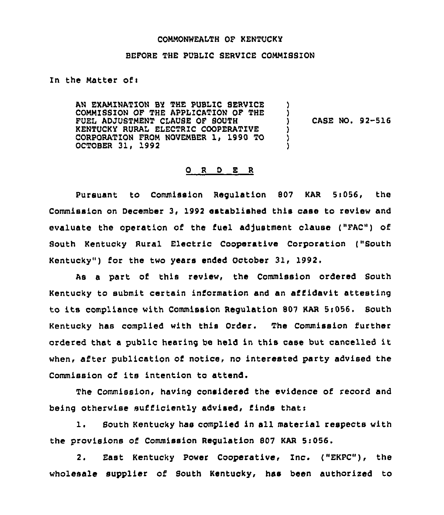### COMMONWEALTH OF KENTUCKY

#### BEFORE THE PUBLIC SERVICE COMMISSION

In the Matter of:

AN EXAMINATION BY THE PUBLIC SERVICE COMMISSION OF THE APPLICATION OF THE FUEL ADJUSTMENT CLAUSE OF SOUTH KENTUCKY RURAL ELECTR1C COOPERATIVE CORPORATION FROM NOVEMBER 1, 1990 TO OCTOBER 31, 1992 ) ) ) CASE NO. 92-516 ) ) )

# O R D E R

Pursuant to Commission Requlation 807 KAR 5:056, the Commission on December 3, 1992 established this case to review and evaluate the operation of the fuel adjustment clause ("FAC") of South Kentucky Rural Electric Cooperative Corporation ("South Kentucky") for the two years ended October 31, 1992,

As a part of this review, the Commission ordered South Kentucky to submit certain information and an affidavit attesting to its compliance with Commission Requlation 807 KAR 5:056. South Kentucky has complied with this Order. The Commission further ordered that <sup>a</sup> public hearing be held in this case but cancelled it when, after publication of notice, no interested party advised the Commission of its intention to attend.

The Commission, having considered the evidence of record and being otherwise sufficiently advised, finds thati

1. South Kentucky has complied in all material respects with the provisions of Commission Regulation 807 KAR 5:056.

2. East Kentucky Power Cooperative, Inc. ("EKPC"), the wholesale supplier of South Kentucky, has been authorised to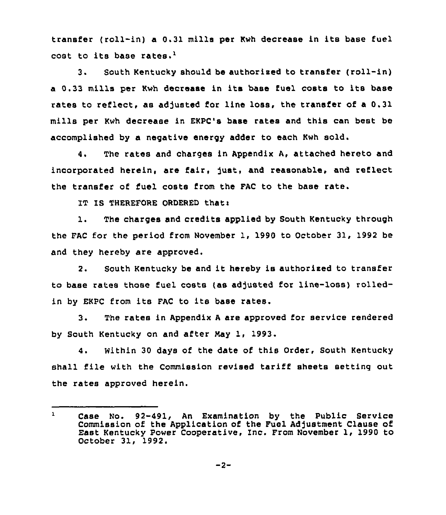transfer (roll-in) a 0.31 mills per Kwh decrease in its base fuel cost to its base rates.<sup>1</sup>

South Kentucky should be authorised to transfer (roll-in)  $3.$ a 0.33 mills per Kwh decrease in its base fuel costs to its base rates to reflect, as adjusted for line loss, the transfer of a 0.31 mills per Kwh decrease in EKPC's base rates and this can best be accomplished by a negative energy adder to each Kwh sold.

4. The rates and charges in Appendix A, attached hereto and incorporated herein, are fair, just, and reasonable, and reflect the transfer of fuel costs from the FAC to the base rate.

IT IS THEREFORE ORDERED that:

1. The charges and credits applied by South Kentucky through the FAC for the period from November 1, 1990 to October 31, 1992 be and they hereby are approved.

2. South Kentucky be and it hereby is authorised to transfer to base rates those fuel costs (as adjusted for line-loss) rolledin by EKPC from its FAC to its base rates.

3. The rates in Appendix <sup>A</sup> are approved for service rendered by South Kentucky on and after May 1, 1993.

4. Within 30 days of the date of this Order, South Kentucky shall file with the Commission revised tariff sheets setting out the rates approved herein.

Case No. 92-491, An Examination by the Public Service  $\mathbf{1}$ Commission of the Application of the Fuel Adjustment Clause of East Kentucky Power Cooperative, Inc. From November 1, 1990 to October 31, 1992.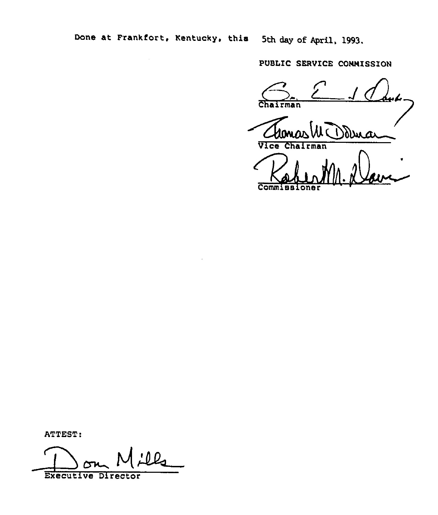Done at Frankfort, Kentucky, this 5th day of April, 1993.

PUBLIC SERVICE CONNISSIO

rman PUBLIC SERVICE CO

Chairman<br>Ulomas W Dolma

Vice Chairman

Comm

ATTEST:

lls Executive Director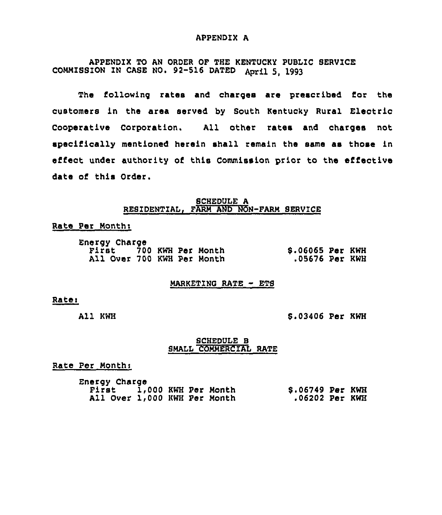### APPENDIX A

APPENDIX TO AN ORDER OF THE KENTUCKY PUBLIC SERVICE COMMISSION IN CASE NO. 92-516 DATED April 5, 1993

The following rates and charges are prescribed for the customers in the area served by South Kentucky Rural Electric Cooperative Corporation. All other rates and charges not specifically mentioned herein shall remain the same as those in effect under authority of this Commission prior to the effective date of this Order.

### SCHEDULE A RESIDENTIAL, FARM AND NON-FARM SERVICE

### Rate Per Months

| Energy Charge |                            |  |                  |  |
|---------------|----------------------------|--|------------------|--|
|               | First 700 KWH Per Month    |  | \$.06065 Per KWH |  |
|               | All Over 700 KWH Per Month |  | .05676 Per KWH   |  |

#### $MARKEYING RATE - ETS$

#### Rate:

All KWH

6.03406 Per KWH

# SCHEDULE B SMALL COMMERCIAL RATE

Rate Per Month:

Energy Charge First 1,000 KWH Per Month 6.06749 Per KWH Ail Over 1,000 KWH Per Month .06202 Per KWH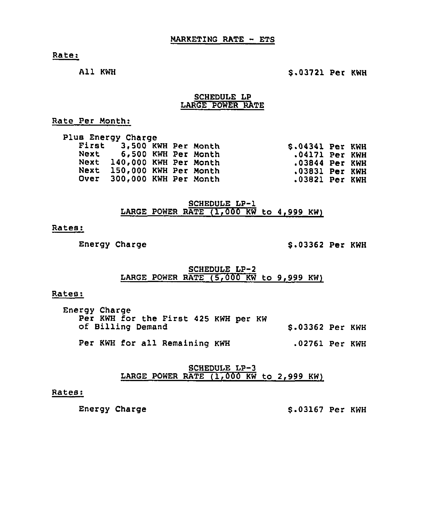Rate:

All KWH

# \$ .03721 Per KWH

## SCHEDULE LP LARGE POWER RATE

Rate Per Month:

|      | Plus Energy Charge         |  |                  |  |
|------|----------------------------|--|------------------|--|
|      | First 3,500 KWH Per Month  |  | \$.04341 Per KWH |  |
|      | Next 6,500 KWH Per Month   |  | .04171 Per KWH   |  |
|      | Next 140,000 KWH Per Month |  | $.03844$ Per KWH |  |
| Next | 150,000 KWH Per Month      |  | .03831 Per KWH   |  |
|      | Over 300,000 KWH Per Month |  | .03821 Per KWH   |  |
|      |                            |  |                  |  |

SCHEDULE LP-1 LARGE POWER RATE  $(1,000$  KW to 4,999 KW)

# Rates:

Energy Charge  $$3362$  Per KWH

# SCHEDULE LP-2 LARGE POWER RATE (5,000 KW to 9,999 KW)

# Rates:

| Energy Charge<br>Per KWH for the First 425 KWH per KW |                  |  |
|-------------------------------------------------------|------------------|--|
| of Billing Demand                                     | \$.03362 Per KWH |  |
| Per KWH for all Remaining KWH                         | .02761 Per KWH   |  |

SCHEDULE LP-3 LARGE POWER RATE (1,000 KW to 2,999 KW)

# Rates:

Energy Charge  $$3.03167$  Per KWH